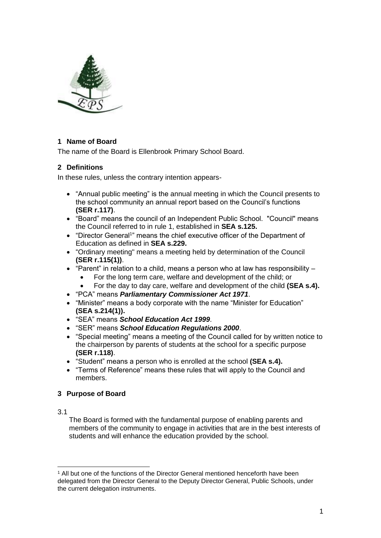

# **1 Name of Board**

The name of the Board is Ellenbrook Primary School Board.

## **2 Definitions**

In these rules, unless the contrary intention appears-

- "Annual public meeting" is the annual meeting in which the Council presents to the school community an annual report based on the Council's functions **(SER r.117)**.
- "Board" means the council of an Independent Public School. "Council" means the Council referred to in rule 1, established in **SEA s.125.**
- "Director General<sup>1</sup>" means the chief executive officer of the Department of Education as defined in **SEA s.229.**
- "Ordinary meeting" means a meeting held by determination of the Council **(SER r.115(1))**.
- "Parent" in relation to a child, means a person who at law has responsibility
	- For the long term care, welfare and development of the child; or
	- For the day to day care, welfare and development of the child **(SEA s.4).**
- "PCA" means *Parliamentary Commissioner Act 1971*.
- "Minister" means a body corporate with the name "Minister for Education" **(SEA s.214(1)).**
- "SEA" means *School Education Act 1999*.
- "SER" means *School Education Regulations 2000*.
- "Special meeting" means a meeting of the Council called for by written notice to the chairperson by parents of students at the school for a specific purpose **(SER r.118)**.
- "Student" means a person who is enrolled at the school **(SEA s.4).**
- "Terms of Reference" means these rules that will apply to the Council and members.

# **3 Purpose of Board**

#### 3.1

-

The Board is formed with the fundamental purpose of enabling parents and members of the community to engage in activities that are in the best interests of students and will enhance the education provided by the school.

<sup>1</sup> All but one of the functions of the Director General mentioned henceforth have been delegated from the Director General to the Deputy Director General, Public Schools, under the current delegation instruments.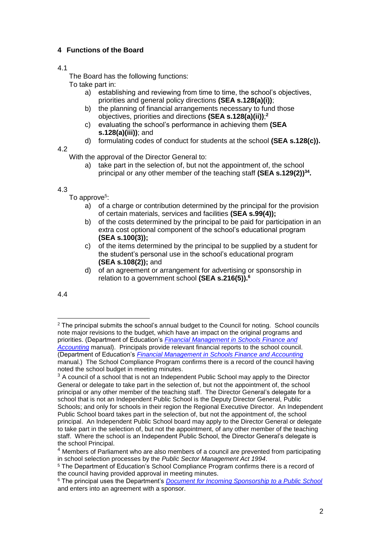# **4 Functions of the Board**

# 4.1

The Board has the following functions:

To take part in:

- a) establishing and reviewing from time to time, the school's objectives, priorities and general policy directions **(SEA s.128(a)(i))**;
- b) the planning of financial arrangements necessary to fund those objectives, priorities and directions **(SEA s.128(a)(ii))**; **2**
- c) evaluating the school's performance in achieving them **(SEA s.128(a)(iii))**; and
- d) formulating codes of conduct for students at the school **(SEA s.128(c)).**

4.2

With the approval of the Director General to:

a) take part in the selection of, but not the appointment of, the school principal or any other member of the teaching staff **(SEA s.129(2))<sup>34</sup> .**

4.3

To approve<sup>5</sup>:

- $\overline{a}$ ) of a charge or contribution determined by the principal for the provision of certain materials, services and facilities **(SEA s.99(4));**
- b) of the costs determined by the principal to be paid for participation in an extra cost optional component of the school's educational program **(SEA s.100(3));**
- c) of the items determined by the principal to be supplied by a student for the student's personal use in the school's educational program **(SEA s.108(2));** and
- d) of an agreement or arrangement for advertising or sponsorship in relation to a government school **(SEA s.216(5)).<sup>6</sup>**

4.4

<sup>-</sup><sup>2</sup> The principal submits the school's annual budget to the Council for noting. School councils note major revisions to the budget, which have an impact on the original programs and priorities. (Department of Education's *[Financial Management in Schools Finance and](https://ikon.education.wa.edu.au/-/finance-and-accounting-manual-1)  [Accounting](https://ikon.education.wa.edu.au/-/finance-and-accounting-manual-1)* manual). Principals provide relevant financial reports to the school council. (Department of Education's *[Financial Management in Schools Finance and Accounting](https://ikon.education.wa.edu.au/-/finance-and-accounting-manual-1)* manual.) The School Compliance Program confirms there is a record of the council having noted the school budget in meeting minutes.

 $3$  A council of a school that is not an Independent Public School may apply to the Director General or delegate to take part in the selection of, but not the appointment of, the school principal or any other member of the teaching staff. The Director General's delegate for a school that is not an Independent Public School is the Deputy Director General, Public Schools; and only for schools in their region the Regional Executive Director. An Independent Public School board takes part in the selection of, but not the appointment of, the school principal. An Independent Public School board may apply to the Director General or delegate to take part in the selection of, but not the appointment, of any other member of the teaching staff. Where the school is an Independent Public School, the Director General's delegate is the school Principal.

<sup>4</sup> Members of Parliament who are also members of a council are prevented from participating in school selection processes by the *Public Sector Management Act 1994*.

<sup>5</sup> The Department of Education's School Compliance Program confirms there is a record of the council having provided approval in meeting minutes.

<sup>6</sup> The principal uses the Department's *[Document for Incoming Sponsorship to a Public School](http://det.wa.edu.au/policies/detcms/policy-planning-and-accountability/policies-framework/guidelines/document-for-incoming-sponsorship-to-a-public-school-.en?cat-id=3457970)* and enters into an agreement with a sponsor.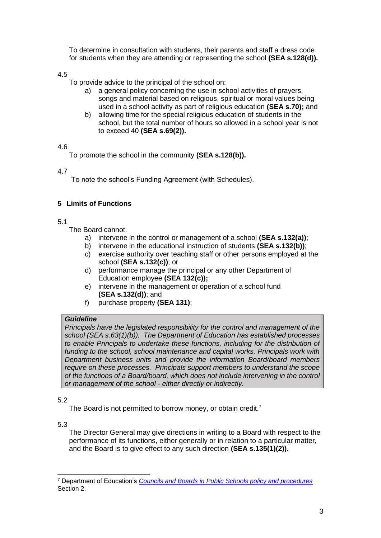To determine in consultation with students, their parents and staff a dress code for students when they are attending or representing the school **(SEA s.128(d)).**

4.5

To provide advice to the principal of the school on:

- a) a general policy concerning the use in school activities of prayers, songs and material based on religious, spiritual or moral values being used in a school activity as part of religious education **(SEA s.70);** and
- b) allowing time for the special religious education of students in the school, but the total number of hours so allowed in a school year is not to exceed 40 **(SEA s.69(2)).**

# 4.6

To promote the school in the community **(SEA s.128(b)).**

4.7

To note the school's Funding Agreement (with Schedules).

# **5 Limits of Functions**

### 5.1

The Board cannot:

- a) intervene in the control or management of a school **(SEA s.132(a))**;
- b) intervene in the educational instruction of students **(SEA s.132(b))**;
- c) exercise authority over teaching staff or other persons employed at the school **(SEA s.132(c))**; or
- d) performance manage the principal or any other Department of Education employee **(SEA 132(c));**
- e) intervene in the management or operation of a school fund **(SEA s.132(d))**; and
- f) purchase property **(SEA 131)**;

# *Guideline*

*Principals have the legislated responsibility for the control and management of the school (SEA s.63(1)(b)). The Department of Education has established processes to enable Principals to undertake these functions, including for the distribution of funding to the school, school maintenance and capital works. Principals work with Department business units and provide the information Board/board members require on these processes. Principals support members to understand the scope of the functions of a Board/board, which does not include intervening in the control or management of the school - either directly or indirectly.* 

### 5.2

The Board is not permitted to borrow money, or obtain credit.<sup>7</sup>

5.3

-

The Director General may give directions in writing to a Board with respect to the performance of its functions, either generally or in relation to a particular matter, and the Board is to give effect to any such direction **(SEA s.135(1)(2))**.

<sup>7</sup> Department of Education's *[Councils and Boards in Public Schools policy and procedures](http://det.wa.edu.au/policies/detcms/policy-planning-and-accountability/policies-framework/policies/councils-and-boards-policy.en?cat-id=3458015)* Section 2.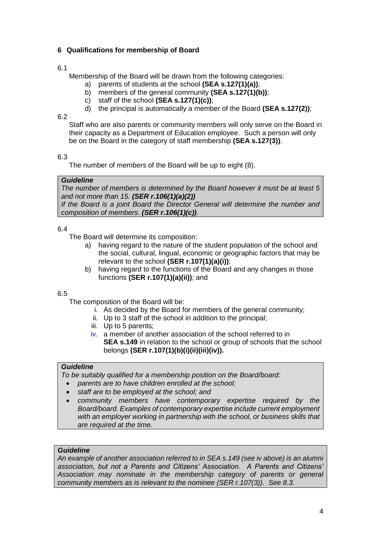# **6 Qualifications for membership of Board**

# 6.1

Membership of the Board will be drawn from the following categories:

- a) parents of students at the school **(SEA s.127(1)(a))**;
- b) members of the general community **(SEA s.127(1)(b))**;
- c) staff of the school **(SEA s.127(1)(c))**;
- d) the principal is automatically a member of the Board **(SEA s.127(2))**;

### 6.2

Staff who are also parents or community members will only serve on the Board in their capacity as a Department of Education employee. Such a person will only be on the Board in the category of staff membership **(SEA s.127(3))**.

6.3

The number of members of the Board will be up to eight (8).

# *Guideline*

*The number of members is determined by the Board however it must be at least 5 and not more than 15. (SER r.106(1)(a)(2)) If the Board is a joint Board the Director General will determine the number and composition of members. (SER r.106(1)(c)).*

## 6.4

The Board will determine its composition:

- a) having regard to the nature of the student population of the school and the social, cultural, lingual, economic or geographic factors that may be relevant to the school **(SER r.107(1)(a)(i))**;
- b) having regard to the functions of the Board and any changes in those functions **(SER r.107(1)(a)(ii))**; and

# 6.5

The composition of the Board will be:

- i. As decided by the Board for members of the general community;
- ii. Up to 3 staff of the school in addition to the principal;
- iii. Up to 5 parents;
- iv. a member of another association of the school referred to in **SEA s.149** in relation to the school or group of schools that the school belongs **(SER r.107(1)(b)(i)(ii)(iii)(iv)).**

### *Guideline*

*To be suitably qualified for a membership position on the Board/board:*

- *parents are to have children enrolled at the school;*
- *staff are to be employed at the school; and*
- *community members have contemporary expertise required by the Board/board. Examples of contemporary expertise include current employment with an employer working in partnership with the school, or business skills that are required at the time.*

# *Guideline*

*An example of another association referred to in SEA s.149 (see iv above) is an alumni association, but not a Parents and Citizens' Association. A Parents and Citizens' Association may nominate in the membership category of parents or general community members as is relevant to the nominee (SER r.107(3)). See 8.3.*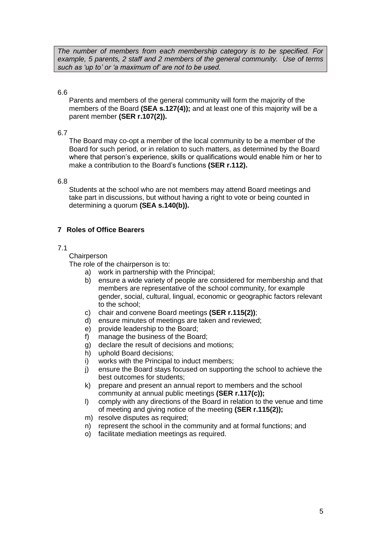*The number of members from each membership category is to be specified. For example, 5 parents, 2 staff and 2 members of the general community. Use of terms such as 'up to' or 'a maximum of' are not to be used.*

### 6.6

Parents and members of the general community will form the majority of the members of the Board **(SEA s.127(4));** and at least one of this majority will be a parent member **(SER r.107(2)).**

#### 6.7

The Board may co-opt a member of the local community to be a member of the Board for such period, or in relation to such matters, as determined by the Board where that person's experience, skills or qualifications would enable him or her to make a contribution to the Board's functions **(SER r.112).**

#### 6.8

Students at the school who are not members may attend Board meetings and take part in discussions, but without having a right to vote or being counted in determining a quorum **(SEA s.140(b)).**

## **7 Roles of Office Bearers**

### 7.1

**Chairperson** 

The role of the chairperson is to:

- a) work in partnership with the Principal;
- b) ensure a wide variety of people are considered for membership and that members are representative of the school community, for example gender, social, cultural, lingual, economic or geographic factors relevant to the school;
- c) chair and convene Board meetings **(SER r.115(2))**;
- d) ensure minutes of meetings are taken and reviewed;
- e) provide leadership to the Board;
- f) manage the business of the Board;
- g) declare the result of decisions and motions;
- h) uphold Board decisions;
- i) works with the Principal to induct members;
- j) ensure the Board stays focused on supporting the school to achieve the best outcomes for students;
- k) prepare and present an annual report to members and the school community at annual public meetings **(SER r.117(c));**
- l) comply with any directions of the Board in relation to the venue and time of meeting and giving notice of the meeting **(SER r.115(2));**
- m) resolve disputes as required:
- n) represent the school in the community and at formal functions; and
- o) facilitate mediation meetings as required.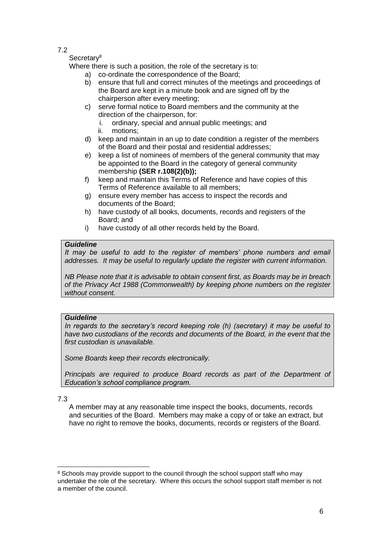#### Secretary<sup>8</sup>

Where there is such a position, the role of the secretary is to:

- a) co-ordinate the correspondence of the Board;
- b) ensure that full and correct minutes of the meetings and proceedings of the Board are kept in a minute book and are signed off by the chairperson after every meeting;
- c) serve formal notice to Board members and the community at the direction of the chairperson, for:
	- i. ordinary, special and annual public meetings; and
	- ii. motions;
- d) keep and maintain in an up to date condition a register of the members of the Board and their postal and residential addresses;
- e) keep a list of nominees of members of the general community that may be appointed to the Board in the category of general community membership **(SER r.108(2)(b));**
- f) keep and maintain this Terms of Reference and have copies of this Terms of Reference available to all members;
- g) ensure every member has access to inspect the records and documents of the Board;
- h) have custody of all books, documents, records and registers of the Board; and
- i) have custody of all other records held by the Board.

# *Guideline*

*It may be useful to add to the register of members' phone numbers and email addresses. It may be useful to regularly update the register with current information.*

*NB Please note that it is advisable to obtain consent first, as Boards may be in breach of the Privacy Act 1988 (Commonwealth) by keeping phone numbers on the register without consent.*

# *Guideline*

*In regards to the secretary's record keeping role (h) (secretary) it may be useful to*  have two custodians of the records and documents of the Board, in the event that the *first custodian is unavailable.* 

*Some Boards keep their records electronically.* 

*Principals are required to produce Board records as part of the Department of Education's school compliance program.*

# 7.3

-

A member may at any reasonable time inspect the books, documents, records and securities of the Board. Members may make a copy of or take an extract, but have no right to remove the books, documents, records or registers of the Board.

<sup>&</sup>lt;sup>8</sup> Schools may provide support to the council through the school support staff who may undertake the role of the secretary. Where this occurs the school support staff member is not a member of the council.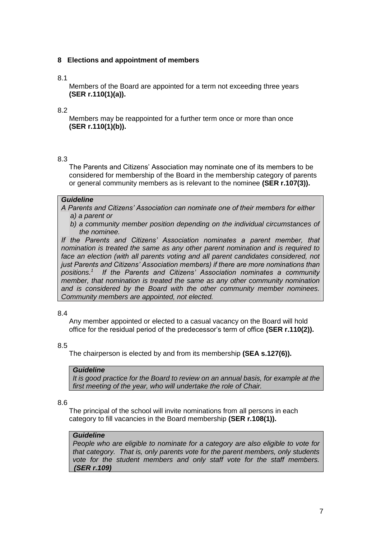## **8 Elections and appointment of members**

### 8.1

Members of the Board are appointed for a term not exceeding three years **(SER r.110(1)(a)).**

### 8.2

Members may be reappointed for a further term once or more than once **(SER r.110(1)(b)).** 

#### 8.3

The Parents and Citizens' Association may nominate one of its members to be considered for membership of the Board in the membership category of parents or general community members as is relevant to the nominee **(SER r.107(3)).**

#### *Guideline*

*A Parents and Citizens' Association can nominate one of their members for either a) a parent or* 

*b) a community member position depending on the individual circumstances of the nominee.* 

*If the Parents and Citizens' Association nominates a parent member, that nomination is treated the same as any other parent nomination and is required to*  face an election (with all parents voting and all parent candidates considered, not *just Parents and Citizens' Association members) if there are more nominations than positions.<sup>1</sup> If the Parents and Citizens' Association nominates a community member, that nomination is treated the same as any other community nomination and is considered by the Board with the other community member nominees. Community members are appointed, not elected.*

#### 8.4

Any member appointed or elected to a casual vacancy on the Board will hold office for the residual period of the predecessor's term of office **(SER r.110(2)).**

#### 8.5

The chairperson is elected by and from its membership **(SEA s.127(6)).**

#### *Guideline*

*It is good practice for the Board to review on an annual basis, for example at the first meeting of the year, who will undertake the role of Chair.*

### 8.6

The principal of the school will invite nominations from all persons in each category to fill vacancies in the Board membership **(SER r.108(1)).**

#### *Guideline*

*People who are eligible to nominate for a category are also eligible to vote for that category. That is, only parents vote for the parent members, only students vote for the student members and only staff vote for the staff members. (SER r.109)*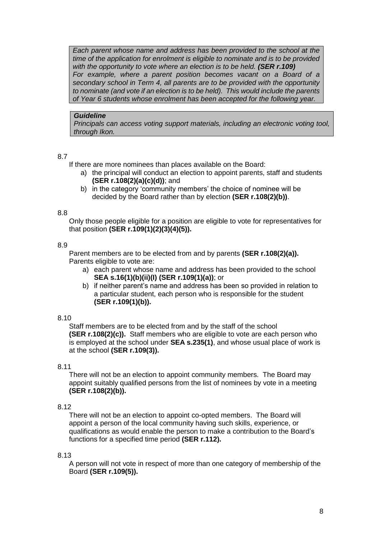*Each parent whose name and address has been provided to the school at the time of the application for enrolment is eligible to nominate and is to be provided with the opportunity to vote where an election is to be held. (SER r.109) For example, where a parent position becomes vacant on a Board of a secondary school in Term 4, all parents are to be provided with the opportunity to nominate (and vote if an election is to be held). This would include the parents of Year 6 students whose enrolment has been accepted for the following year.*

#### *Guideline*

*Principals can access voting support materials, including an electronic voting tool, through Ikon.*

### 8.7

If there are more nominees than places available on the Board:

- a) the principal will conduct an election to appoint parents, staff and students **(SER r.108(2)(a)(c)(d))**; and
- b) in the category 'community members' the choice of nominee will be decided by the Board rather than by election **(SER r.108(2)(b))**.

#### 8.8

Only those people eligible for a position are eligible to vote for representatives for that position **(SER r.109(1)(2)(3)(4)(5)).**

#### 8.9

Parent members are to be elected from and by parents **(SER r.108(2)(a)).** Parents eligible to vote are:

- a) each parent whose name and address has been provided to the school **SEA s.16(1)(b)(ii)(I) (SER r.109(1)(a))**; or
- b) if neither parent's name and address has been so provided in relation to a particular student, each person who is responsible for the student **(SER r.109(1)(b)).**

### 8.10

Staff members are to be elected from and by the staff of the school **(SER r.108(2)(c)).** Staff members who are eligible to vote are each person who is employed at the school under **SEA s.235(1)**, and whose usual place of work is at the school **(SER r.109(3)).**

#### 8.11

There will not be an election to appoint community members. The Board may appoint suitably qualified persons from the list of nominees by vote in a meeting **(SER r.108(2)(b)).**

### 8.12

There will not be an election to appoint co-opted members. The Board will appoint a person of the local community having such skills, experience, or qualifications as would enable the person to make a contribution to the Board's functions for a specified time period **(SER r.112).**

### 8.13

A person will not vote in respect of more than one category of membership of the Board **(SER r.109(5)).**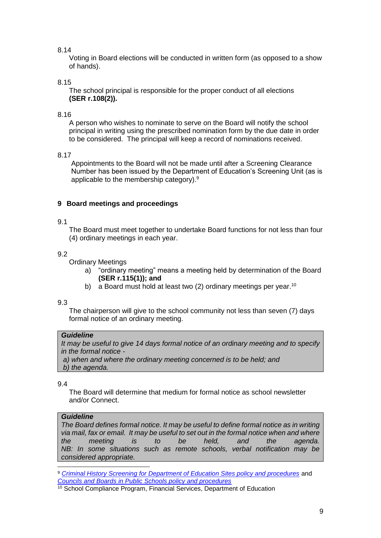Voting in Board elections will be conducted in written form (as opposed to a show of hands).

## 8.15

The school principal is responsible for the proper conduct of all elections **(SER r.108(2)).**

### 8.16

A person who wishes to nominate to serve on the Board will notify the school principal in writing using the prescribed nomination form by the due date in order to be considered. The principal will keep a record of nominations received.

## 8.17

Appointments to the Board will not be made until after a Screening Clearance Number has been issued by the Department of Education's Screening Unit (as is applicable to the membership category).<sup>9</sup>

## **9 Board meetings and proceedings**

## 9.1

The Board must meet together to undertake Board functions for not less than four (4) ordinary meetings in each year.

## 9.2

Ordinary Meetings

- a) "ordinary meeting" means a meeting held by determination of the Board **(SER r.115(1)); and**
- b) a Board must hold at least two (2) ordinary meetings per year.<sup>10</sup>

### 9.3

The chairperson will give to the school community not less than seven (7) days formal notice of an ordinary meeting.

### *Guideline*

*It may be useful to give 14 days formal notice of an ordinary meeting and to specify in the formal notice -*

*a) a) when and where the ordinary meeting concerned is to be held; and* b) *b) the agenda.*

### 9.4

The Board will determine that medium for formal notice as school newsletter and/or Connect.

### *Guideline*

*The Board defines formal notice. It may be useful to define formal notice as in writing via mail, fax or email. It may be useful to set out in the formal notice when and where the meeting is to be held, and the agenda. NB: In some situations such as remote schools, verbal notification may be considered appropriate.*

<sup>-</sup><sup>9</sup> *[Criminal History Screening for Department of Education Sites policy and procedures](http://det.wa.edu.au/policies/detcms/policy-planning-and-accountability/policies-framework/policies/criminal-history-screening-for-department-of-education-sites-policy-and-procedures.en?cat-id=3457995)* and *[Councils and Boards in Public Schools policy and procedures](http://det.wa.edu.au/policies/detcms/policy-planning-and-accountability/policies-framework/policies/councils-and-boards-policy.en?cat-id=3458015)*

<sup>&</sup>lt;sup>10</sup> School Compliance Program, Financial Services, Department of Education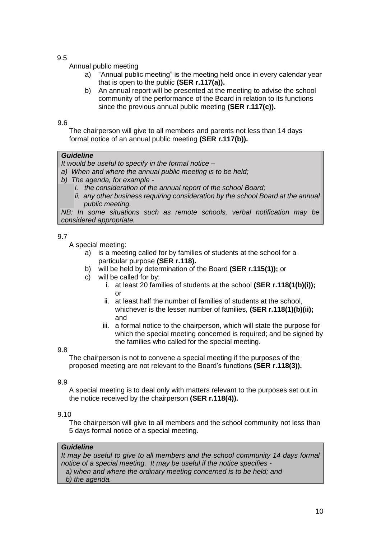### Annual public meeting

- a) "Annual public meeting" is the meeting held once in every calendar year that is open to the public **(SER r.117(a)).**
- b) An annual report will be presented at the meeting to advise the school community of the performance of the Board in relation to its functions since the previous annual public meeting **(SER r.117(c)).**

#### 9.6

The chairperson will give to all members and parents not less than 14 days formal notice of an annual public meeting **(SER r.117(b)).**

#### *Guideline*

*It would be useful to specify in the formal notice –*

- a) *a) When and where the annual public meeting is to be held;*
- b) *b) The agenda, for example* 
	- *i. the consideration of the annual report of the school Board;*
	- *ii. any other business requiring consideration by the school Board at the annual public meeting.*

*NB: In some situations such as remote schools, verbal notification may be considered appropriate.*

## 9.7

A special meeting:

- a) is a meeting called for by families of students at the school for a particular purpose **(SER r.118).**
- b) will be held by determination of the Board **(SER r.115(1));** or
- c) will be called for by:
	- i. at least 20 families of students at the school **(SER r.118(1(b)(i));**   $\alpha$ r
	- ii. at least half the number of families of students at the school, whichever is the lesser number of families, **(SER r.118(1)(b)(ii);** and
	- iii. a formal notice to the chairperson, which will state the purpose for which the special meeting concerned is required; and be signed by the families who called for the special meeting.

### 9.8

The chairperson is not to convene a special meeting if the purposes of the proposed meeting are not relevant to the Board's functions **(SER r.118(3)).**

### 9.9

A special meeting is to deal only with matters relevant to the purposes set out in the notice received by the chairperson **(SER r.118(4)).**

### 9.10

The chairperson will give to all members and the school community not less than 5 days formal notice of a special meeting.

#### *Guideline*

*It may be useful to give to all members and the school community 14 days formal notice of a special meeting. It may be useful if the notice specifies a) when and where the ordinary meeting concerned is to be held; and b) the agenda.*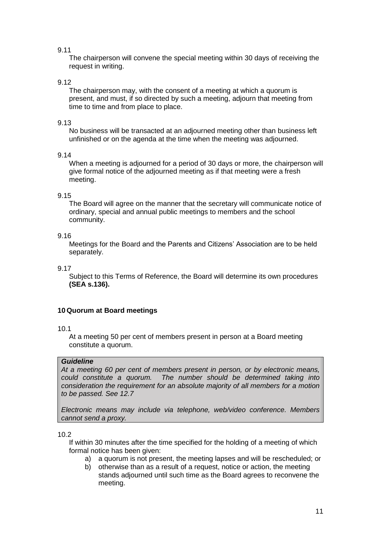The chairperson will convene the special meeting within 30 days of receiving the request in writing.

# 9.12

The chairperson may, with the consent of a meeting at which a quorum is present, and must, if so directed by such a meeting, adjourn that meeting from time to time and from place to place.

## 9.13

No business will be transacted at an adjourned meeting other than business left unfinished or on the agenda at the time when the meeting was adjourned.

## 9.14

When a meeting is adjourned for a period of 30 days or more, the chairperson will give formal notice of the adjourned meeting as if that meeting were a fresh meeting.

## 9.15

The Board will agree on the manner that the secretary will communicate notice of ordinary, special and annual public meetings to members and the school community.

## 9.16

Meetings for the Board and the Parents and Citizens' Association are to be held separately.

9.17

Subject to this Terms of Reference, the Board will determine its own procedures **(SEA s.136).** 

# **10 Quorum at Board meetings**

### 10.1

At a meeting 50 per cent of members present in person at a Board meeting constitute a quorum.

# *Guideline*

*At a meeting 60 per cent of members present in person, or by electronic means, could constitute a quorum. The number should be determined taking into consideration the requirement for an absolute majority of all members for a motion to be passed. See 12.7*

*Electronic means may include via telephone, web/video conference. Members cannot send a proxy.*

### 10.2

If within 30 minutes after the time specified for the holding of a meeting of which formal notice has been given:

- a) a quorum is not present, the meeting lapses and will be rescheduled; or
- b) otherwise than as a result of a request, notice or action, the meeting stands adjourned until such time as the Board agrees to reconvene the meeting.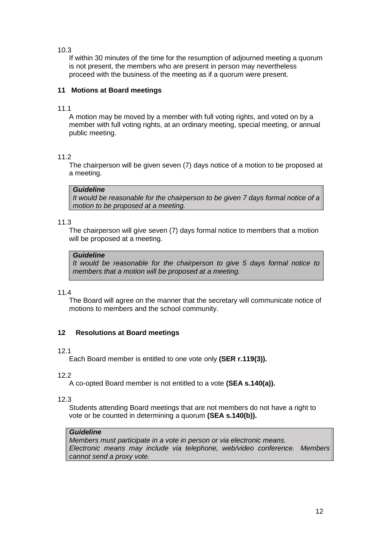If within 30 minutes of the time for the resumption of adjourned meeting a quorum is not present, the members who are present in person may nevertheless proceed with the business of the meeting as if a quorum were present.

# **11 Motions at Board meetings**

## 11.1

A motion may be moved by a member with full voting rights, and voted on by a member with full voting rights, at an ordinary meeting, special meeting, or annual public meeting.

# 11.2

The chairperson will be given seven (7) days notice of a motion to be proposed at a meeting.

## *Guideline*

*It would be reasonable for the chairperson to be given 7 days formal notice of a motion to be proposed at a meeting.*

## 11.3

The chairperson will give seven (7) days formal notice to members that a motion will be proposed at a meeting.

### *Guideline*

*It would be reasonable for the chairperson to give 5 days formal notice to members that a motion will be proposed at a meeting.*

### 11.4

The Board will agree on the manner that the secretary will communicate notice of motions to members and the school community.

# **12 Resolutions at Board meetings**

# 12.1

Each Board member is entitled to one vote only **(SER r.119(3)).**

12.2

A co-opted Board member is not entitled to a vote **(SEA s.140(a)).**

12.3

Students attending Board meetings that are not members do not have a right to vote or be counted in determining a quorum **(SEA s.140(b)).**

### *Guideline*

*Members must participate in a vote in person or via electronic means. Electronic means may include via telephone, web/video conference. Members cannot send a proxy vote.*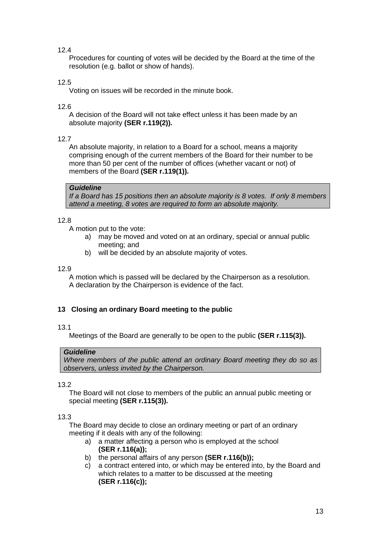Procedures for counting of votes will be decided by the Board at the time of the resolution (e.g. ballot or show of hands).

# 12.5

Voting on issues will be recorded in the minute book.

## 12.6

A decision of the Board will not take effect unless it has been made by an absolute majority **(SER r.119(2)).**

## 12.7

An absolute majority, in relation to a Board for a school, means a majority comprising enough of the current members of the Board for their number to be more than 50 per cent of the number of offices (whether vacant or not) of members of the Board **(SER r.119(1)).**

## *Guideline*

*If a Board has 15 positions then an absolute majority is 8 votes. If only 8 members attend a meeting, 8 votes are required to form an absolute majority.*

## 12.8

A motion put to the vote:

- a) may be moved and voted on at an ordinary, special or annual public meeting; and
- b) will be decided by an absolute majority of votes.

### 12.9

A motion which is passed will be declared by the Chairperson as a resolution. A declaration by the Chairperson is evidence of the fact.

# **13 Closing an ordinary Board meeting to the public**

### 13.1

Meetings of the Board are generally to be open to the public **(SER r.115(3)).**

### *Guideline*

*Where members of the public attend an ordinary Board meeting they do so as observers, unless invited by the Chairperson.*

### 13.2

The Board will not close to members of the public an annual public meeting or special meeting **(SER r.115(3)).**

# 13.3

The Board may decide to close an ordinary meeting or part of an ordinary meeting if it deals with any of the following:

- a) a matter affecting a person who is employed at the school **(SER r.116(a));**
- b) the personal affairs of any person **(SER r.116(b));**
- c) a contract entered into, or which may be entered into, by the Board and which relates to a matter to be discussed at the meeting **(SER r.116(c));**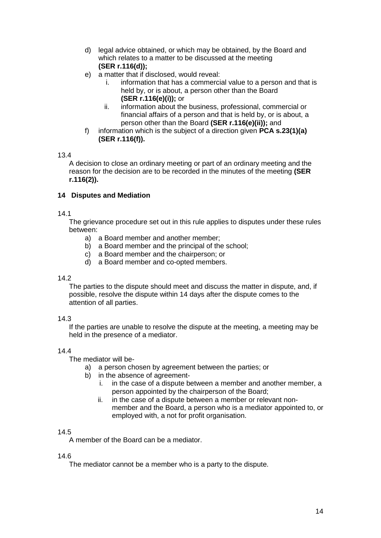- d) legal advice obtained, or which may be obtained, by the Board and which relates to a matter to be discussed at the meeting **(SER r.116(d));**
- e) a matter that if disclosed, would reveal:
	- i. information that has a commercial value to a person and that is held by, or is about, a person other than the Board **(SER r.116(e)(i));** or
	- ii. information about the business, professional, commercial or financial affairs of a person and that is held by, or is about, a person other than the Board **(SER r.116(e)(ii));** and
- f) information which is the subject of a direction given **PCA s.23(1)(a) (SER r.116(f)).**

A decision to close an ordinary meeting or part of an ordinary meeting and the reason for the decision are to be recorded in the minutes of the meeting **(SER r.116(2)).**

## **14 Disputes and Mediation**

### 14.1

The grievance procedure set out in this rule applies to disputes under these rules between:

- a) a Board member and another member;
- b) a Board member and the principal of the school;
- c) a Board member and the chairperson; or
- d) a Board member and co-opted members.

### 14.2

The parties to the dispute should meet and discuss the matter in dispute, and, if possible, resolve the dispute within 14 days after the dispute comes to the attention of all parties.

### 14.3

If the parties are unable to resolve the dispute at the meeting, a meeting may be held in the presence of a mediator.

# 14.4

The mediator will be-

- a) a person chosen by agreement between the parties; or
- b) in the absence of agreement
	- i. in the case of a dispute between a member and another member, a person appointed by the chairperson of the Board;
	- ii. in the case of a dispute between a member or relevant nonmember and the Board, a person who is a mediator appointed to, or employed with, a not for profit organisation.

### 14.5

A member of the Board can be a mediator.

### 14.6

The mediator cannot be a member who is a party to the dispute.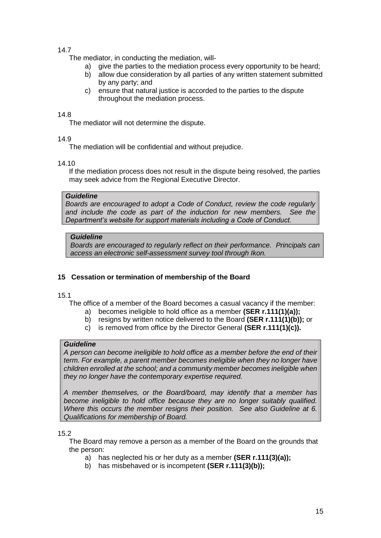The mediator, in conducting the mediation, will-

- a) give the parties to the mediation process every opportunity to be heard;
- b) allow due consideration by all parties of any written statement submitted by any party; and
- c) ensure that natural justice is accorded to the parties to the dispute throughout the mediation process.

### 14.8

The mediator will not determine the dispute.

### 14.9

The mediation will be confidential and without prejudice.

### 14.10

If the mediation process does not result in the dispute being resolved, the parties may seek advice from the Regional Executive Director.

### *Guideline*

*Boards are encouraged to adopt a Code of Conduct, review the code regularly and include the code as part of the induction for new members. See the Department's website for support materials including a Code of Conduct.*

# *Guideline*

*Boards are encouraged to regularly reflect on their performance. Principals can access an electronic self-assessment survey tool through Ikon.*

# **15 Cessation or termination of membership of the Board**

### 15.1

The office of a member of the Board becomes a casual vacancy if the member:

- a) becomes ineligible to hold office as a member **(SER r.111(1)(a));**
- b) resigns by written notice delivered to the Board **(SER r.111(1)(b));** or
- c) is removed from office by the Director General **(SER r.111(1)(c)).**

# *Guideline*

*A person can become ineligible to hold office as a member before the end of their term. For example, a parent member becomes ineligible when they no longer have children enrolled at the school; and a community member becomes ineligible when they no longer have the contemporary expertise required.*

*A member themselves, or the Board/board, may identify that a member has become ineligible to hold office because they are no longer suitably qualified. Where this occurs the member resigns their position. See also Guideline at 6. Qualifications for membership of Board.*

# 15.2

The Board may remove a person as a member of the Board on the grounds that the person:

- a) has neglected his or her duty as a member **(SER r.111(3)(a));**
- b) has misbehaved or is incompetent **(SER r.111(3)(b));**